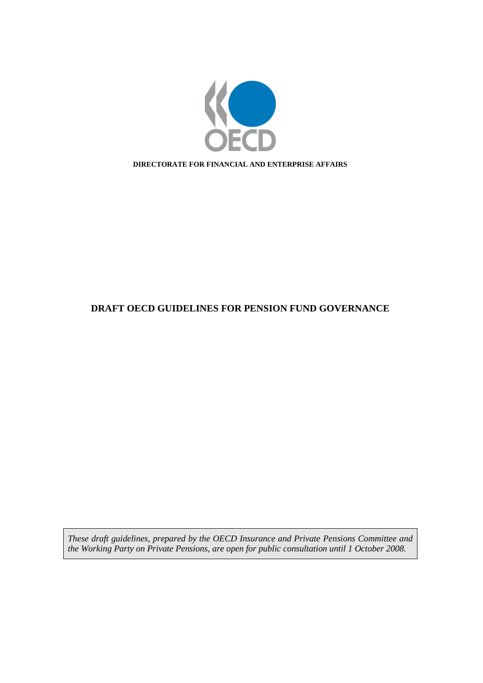

# **DRAFT OECD GUIDELINES FOR PENSION FUND GOVERNANCE**

*These draft guidelines, prepared by the OECD Insurance and Private Pensions Committee and the Working Party on Private Pensions, are open for public consultation until 1 October 2008.*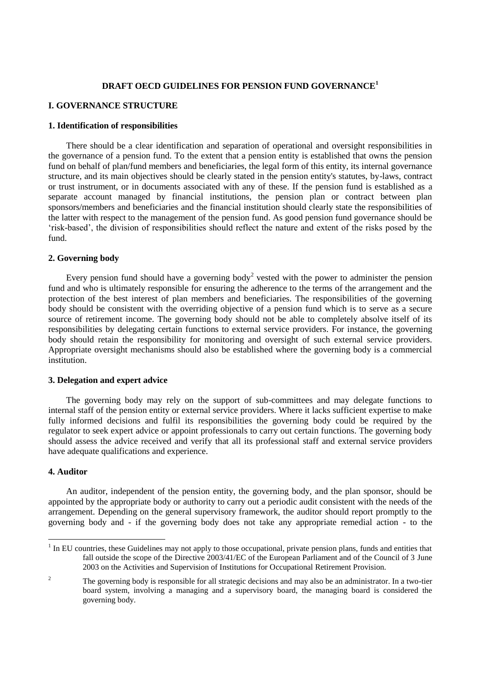# **DRAFT OECD GUIDELINES FOR PENSION FUND GOVERNANCE<sup>1</sup>**

## **I. GOVERNANCE STRUCTURE**

#### **1. Identification of responsibilities**

There should be a clear identification and separation of operational and oversight responsibilities in the governance of a pension fund. To the extent that a pension entity is established that owns the pension fund on behalf of plan/fund members and beneficiaries, the legal form of this entity, its internal governance structure, and its main objectives should be clearly stated in the pension entity's statutes, by-laws, contract or trust instrument, or in documents associated with any of these. If the pension fund is established as a separate account managed by financial institutions, the pension plan or contract between plan sponsors/members and beneficiaries and the financial institution should clearly state the responsibilities of the latter with respect to the management of the pension fund. As good pension fund governance should be "risk-based", the division of responsibilities should reflect the nature and extent of the risks posed by the fund.

# **2. Governing body**

Every pension fund should have a governing body<sup>2</sup> vested with the power to administer the pension fund and who is ultimately responsible for ensuring the adherence to the terms of the arrangement and the protection of the best interest of plan members and beneficiaries. The responsibilities of the governing body should be consistent with the overriding objective of a pension fund which is to serve as a secure source of retirement income. The governing body should not be able to completely absolve itself of its responsibilities by delegating certain functions to external service providers. For instance, the governing body should retain the responsibility for monitoring and oversight of such external service providers. Appropriate oversight mechanisms should also be established where the governing body is a commercial institution.

# **3. Delegation and expert advice**

The governing body may rely on the support of sub-committees and may delegate functions to internal staff of the pension entity or external service providers. Where it lacks sufficient expertise to make fully informed decisions and fulfil its responsibilities the governing body could be required by the regulator to seek expert advice or appoint professionals to carry out certain functions. The governing body should assess the advice received and verify that all its professional staff and external service providers have adequate qualifications and experience.

### **4. Auditor**

l

An auditor, independent of the pension entity, the governing body, and the plan sponsor, should be appointed by the appropriate body or authority to carry out a periodic audit consistent with the needs of the arrangement. Depending on the general supervisory framework, the auditor should report promptly to the governing body and - if the governing body does not take any appropriate remedial action - to the

 $<sup>1</sup>$  In EU countries, these Guidelines may not apply to those occupational, private pension plans, funds and entities that</sup> fall outside the scope of the Directive 2003/41/EC of the European Parliament and of the Council of 3 June 2003 on the Activities and Supervision of Institutions for Occupational Retirement Provision.

<sup>&</sup>lt;sup>2</sup> The governing body is responsible for all strategic decisions and may also be an administrator. In a two-tier board system, involving a managing and a supervisory board, the managing board is considered the governing body.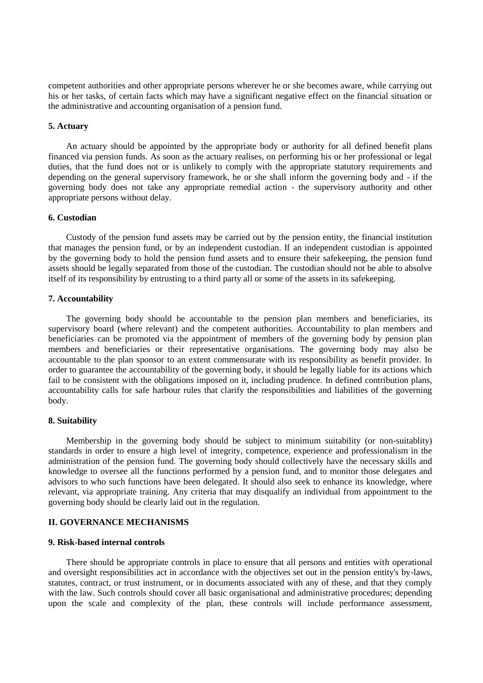competent authorities and other appropriate persons wherever he or she becomes aware, while carrying out his or her tasks, of certain facts which may have a significant negative effect on the financial situation or the administrative and accounting organisation of a pension fund.

#### **5. Actuary**

An actuary should be appointed by the appropriate body or authority for all defined benefit plans financed via pension funds. As soon as the actuary realises, on performing his or her professional or legal duties, that the fund does not or is unlikely to comply with the appropriate statutory requirements and depending on the general supervisory framework, he or she shall inform the governing body and - if the governing body does not take any appropriate remedial action - the supervisory authority and other appropriate persons without delay.

#### **6. Custodian**

Custody of the pension fund assets may be carried out by the pension entity, the financial institution that manages the pension fund, or by an independent custodian. If an independent custodian is appointed by the governing body to hold the pension fund assets and to ensure their safekeeping, the pension fund assets should be legally separated from those of the custodian. The custodian should not be able to absolve itself of its responsibility by entrusting to a third party all or some of the assets in its safekeeping.

## **7. Accountability**

The governing body should be accountable to the pension plan members and beneficiaries, its supervisory board (where relevant) and the competent authorities. Accountability to plan members and beneficiaries can be promoted via the appointment of members of the governing body by pension plan members and beneficiaries or their representative organisations. The governing body may also be accountable to the plan sponsor to an extent commensurate with its responsibility as benefit provider. In order to guarantee the accountability of the governing body, it should be legally liable for its actions which fail to be consistent with the obligations imposed on it, including prudence. In defined contribution plans, accountability calls for safe harbour rules that clarify the responsibilities and liabilities of the governing body.

#### **8. Suitability**

Membership in the governing body should be subject to minimum suitability (or non-suitablity) standards in order to ensure a high level of integrity, competence, experience and professionalism in the administration of the pension fund. The governing body should collectively have the necessary skills and knowledge to oversee all the functions performed by a pension fund, and to monitor those delegates and advisors to who such functions have been delegated. It should also seek to enhance its knowledge, where relevant, via appropriate training. Any criteria that may disqualify an individual from appointment to the governing body should be clearly laid out in the regulation.

# **II. GOVERNANCE MECHANISMS**

#### **9. Risk-based internal controls**

There should be appropriate controls in place to ensure that all persons and entities with operational and oversight responsibilities act in accordance with the objectives set out in the pension entity's by-laws, statutes, contract, or trust instrument, or in documents associated with any of these, and that they comply with the law. Such controls should cover all basic organisational and administrative procedures; depending upon the scale and complexity of the plan, these controls will include performance assessment,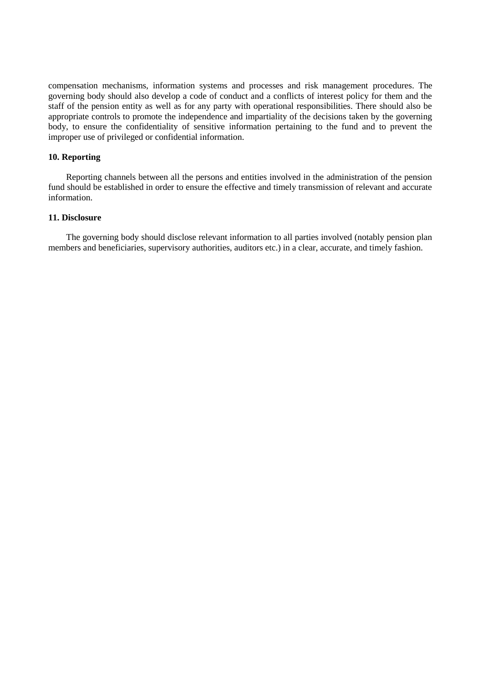compensation mechanisms, information systems and processes and risk management procedures. The governing body should also develop a code of conduct and a conflicts of interest policy for them and the staff of the pension entity as well as for any party with operational responsibilities. There should also be appropriate controls to promote the independence and impartiality of the decisions taken by the governing body, to ensure the confidentiality of sensitive information pertaining to the fund and to prevent the improper use of privileged or confidential information.

# **10. Reporting**

Reporting channels between all the persons and entities involved in the administration of the pension fund should be established in order to ensure the effective and timely transmission of relevant and accurate information.

## **11. Disclosure**

The governing body should disclose relevant information to all parties involved (notably pension plan members and beneficiaries, supervisory authorities, auditors etc.) in a clear, accurate, and timely fashion.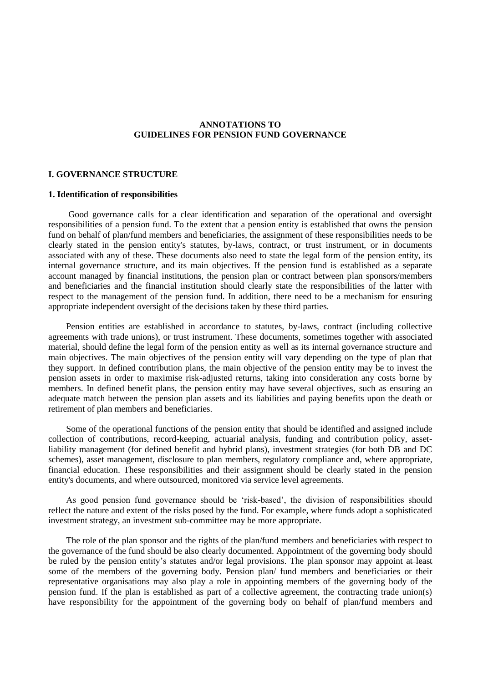# **ANNOTATIONS TO GUIDELINES FOR PENSION FUND GOVERNANCE**

# **I. GOVERNANCE STRUCTURE**

#### **1. Identification of responsibilities**

Good governance calls for a clear identification and separation of the operational and oversight responsibilities of a pension fund. To the extent that a pension entity is established that owns the pension fund on behalf of plan/fund members and beneficiaries, the assignment of these responsibilities needs to be clearly stated in the pension entity's statutes, by-laws, contract, or trust instrument, or in documents associated with any of these. These documents also need to state the legal form of the pension entity, its internal governance structure, and its main objectives. If the pension fund is established as a separate account managed by financial institutions, the pension plan or contract between plan sponsors/members and beneficiaries and the financial institution should clearly state the responsibilities of the latter with respect to the management of the pension fund. In addition, there need to be a mechanism for ensuring appropriate independent oversight of the decisions taken by these third parties.

Pension entities are established in accordance to statutes, by-laws, contract (including collective agreements with trade unions), or trust instrument. These documents, sometimes together with associated material, should define the legal form of the pension entity as well as its internal governance structure and main objectives. The main objectives of the pension entity will vary depending on the type of plan that they support. In defined contribution plans, the main objective of the pension entity may be to invest the pension assets in order to maximise risk-adjusted returns, taking into consideration any costs borne by members. In defined benefit plans, the pension entity may have several objectives, such as ensuring an adequate match between the pension plan assets and its liabilities and paying benefits upon the death or retirement of plan members and beneficiaries.

Some of the operational functions of the pension entity that should be identified and assigned include collection of contributions, record-keeping, actuarial analysis, funding and contribution policy, assetliability management (for defined benefit and hybrid plans), investment strategies (for both DB and DC schemes), asset management, disclosure to plan members, regulatory compliance and, where appropriate, financial education. These responsibilities and their assignment should be clearly stated in the pension entity's documents, and where outsourced, monitored via service level agreements.

As good pension fund governance should be "risk-based", the division of responsibilities should reflect the nature and extent of the risks posed by the fund. For example, where funds adopt a sophisticated investment strategy, an investment sub-committee may be more appropriate.

The role of the plan sponsor and the rights of the plan/fund members and beneficiaries with respect to the governance of the fund should be also clearly documented. Appointment of the governing body should be ruled by the pension entity's statutes and/or legal provisions. The plan sponsor may appoint at least some of the members of the governing body. Pension plan/ fund members and beneficiaries or their representative organisations may also play a role in appointing members of the governing body of the pension fund. If the plan is established as part of a collective agreement, the contracting trade union(s) have responsibility for the appointment of the governing body on behalf of plan/fund members and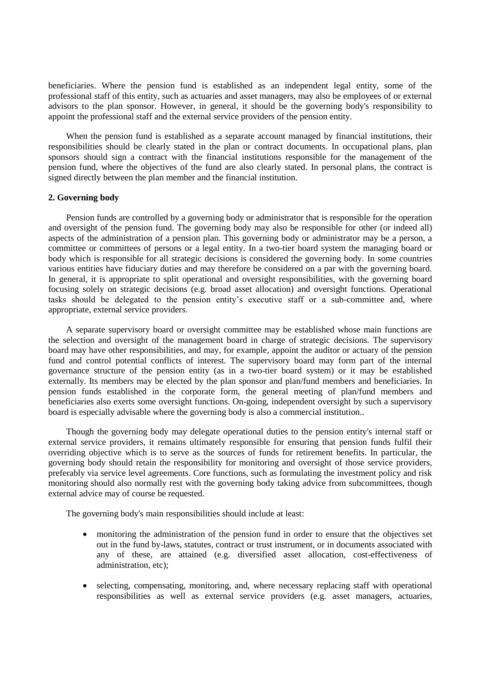beneficiaries. Where the pension fund is established as an independent legal entity, some of the professional staff of this entity, such as actuaries and asset managers, may also be employees of or external advisors to the plan sponsor. However, in general, it should be the governing body's responsibility to appoint the professional staff and the external service providers of the pension entity.

When the pension fund is established as a separate account managed by financial institutions, their responsibilities should be clearly stated in the plan or contract documents. In occupational plans, plan sponsors should sign a contract with the financial institutions responsible for the management of the pension fund, where the objectives of the fund are also clearly stated. In personal plans, the contract is signed directly between the plan member and the financial institution.

#### **2. Governing body**

Pension funds are controlled by a governing body or administrator that is responsible for the operation and oversight of the pension fund. The governing body may also be responsible for other (or indeed all) aspects of the administration of a pension plan. This governing body or administrator may be a person, a committee or committees of persons or a legal entity. In a two-tier board system the managing board or body which is responsible for all strategic decisions is considered the governing body. In some countries various entities have fiduciary duties and may therefore be considered on a par with the governing board. In general, it is appropriate to split operational and oversight responsibilities, with the governing board focusing solely on strategic decisions (e.g. broad asset allocation) and oversight functions. Operational tasks should be delegated to the pension entity"s executive staff or a sub-committee and, where appropriate, external service providers.

A separate supervisory board or oversight committee may be established whose main functions are the selection and oversight of the management board in charge of strategic decisions. The supervisory board may have other responsibilities, and may, for example, appoint the auditor or actuary of the pension fund and control potential conflicts of interest. The supervisory board may form part of the internal governance structure of the pension entity (as in a two-tier board system) or it may be established externally. Its members may be elected by the plan sponsor and plan/fund members and beneficiaries. In pension funds established in the corporate form, the general meeting of plan/fund members and beneficiaries also exerts some oversight functions. On-going, independent oversight by such a supervisory board is especially advisable where the governing body is also a commercial institution..

Though the governing body may delegate operational duties to the pension entity's internal staff or external service providers, it remains ultimately responsible for ensuring that pension funds fulfil their overriding objective which is to serve as the sources of funds for retirement benefits. In particular, the governing body should retain the responsibility for monitoring and oversight of those service providers, preferably via service level agreements. Core functions, such as formulating the investment policy and risk monitoring should also normally rest with the governing body taking advice from subcommittees, though external advice may of course be requested.

The governing body's main responsibilities should include at least:

- monitoring the administration of the pension fund in order to ensure that the objectives set out in the fund by-laws, statutes, contract or trust instrument, or in documents associated with any of these, are attained (e.g. diversified asset allocation, cost-effectiveness of administration, etc);
- selecting, compensating, monitoring, and, where necessary replacing staff with operational responsibilities as well as external service providers (e.g. asset managers, actuaries,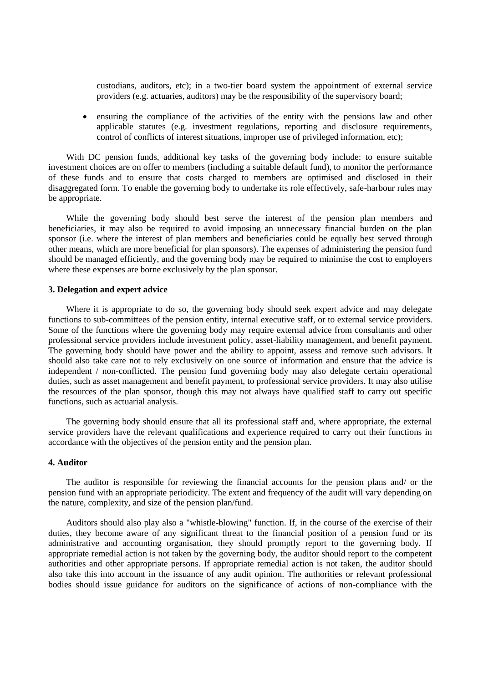custodians, auditors, etc); in a two-tier board system the appointment of external service providers (e.g. actuaries, auditors) may be the responsibility of the supervisory board;

 ensuring the compliance of the activities of the entity with the pensions law and other applicable statutes (e.g. investment regulations, reporting and disclosure requirements, control of conflicts of interest situations, improper use of privileged information, etc);

With DC pension funds, additional key tasks of the governing body include: to ensure suitable investment choices are on offer to members (including a suitable default fund), to monitor the performance of these funds and to ensure that costs charged to members are optimised and disclosed in their disaggregated form. To enable the governing body to undertake its role effectively, safe-harbour rules may be appropriate.

While the governing body should best serve the interest of the pension plan members and beneficiaries, it may also be required to avoid imposing an unnecessary financial burden on the plan sponsor (i.e. where the interest of plan members and beneficiaries could be equally best served through other means, which are more beneficial for plan sponsors). The expenses of administering the pension fund should be managed efficiently, and the governing body may be required to minimise the cost to employers where these expenses are borne exclusively by the plan sponsor.

# **3. Delegation and expert advice**

Where it is appropriate to do so, the governing body should seek expert advice and may delegate functions to sub-committees of the pension entity, internal executive staff, or to external service providers. Some of the functions where the governing body may require external advice from consultants and other professional service providers include investment policy, asset-liability management, and benefit payment. The governing body should have power and the ability to appoint, assess and remove such advisors. It should also take care not to rely exclusively on one source of information and ensure that the advice is independent / non-conflicted. The pension fund governing body may also delegate certain operational duties, such as asset management and benefit payment, to professional service providers. It may also utilise the resources of the plan sponsor, though this may not always have qualified staff to carry out specific functions, such as actuarial analysis.

The governing body should ensure that all its professional staff and, where appropriate, the external service providers have the relevant qualifications and experience required to carry out their functions in accordance with the objectives of the pension entity and the pension plan.

#### **4. Auditor**

The auditor is responsible for reviewing the financial accounts for the pension plans and/ or the pension fund with an appropriate periodicity. The extent and frequency of the audit will vary depending on the nature, complexity, and size of the pension plan/fund.

Auditors should also play also a "whistle-blowing" function. If, in the course of the exercise of their duties, they become aware of any significant threat to the financial position of a pension fund or its administrative and accounting organisation, they should promptly report to the governing body. If appropriate remedial action is not taken by the governing body, the auditor should report to the competent authorities and other appropriate persons. If appropriate remedial action is not taken, the auditor should also take this into account in the issuance of any audit opinion. The authorities or relevant professional bodies should issue guidance for auditors on the significance of actions of non-compliance with the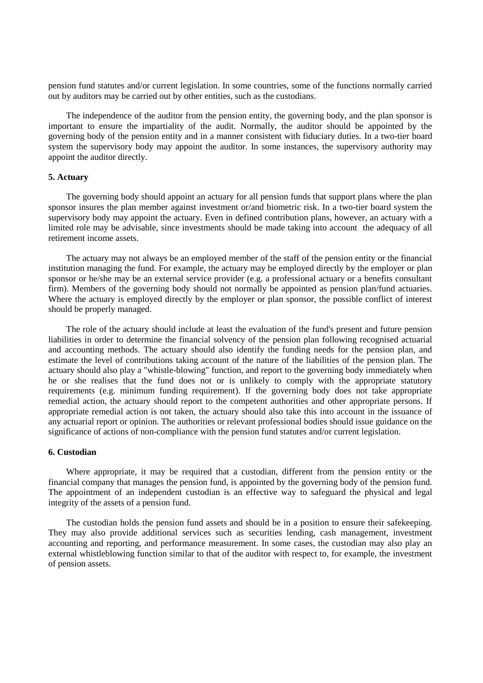pension fund statutes and/or current legislation. In some countries, some of the functions normally carried out by auditors may be carried out by other entities, such as the custodians.

The independence of the auditor from the pension entity, the governing body, and the plan sponsor is important to ensure the impartiality of the audit. Normally, the auditor should be appointed by the governing body of the pension entity and in a manner consistent with fiduciary duties. In a two-tier board system the supervisory body may appoint the auditor. In some instances, the supervisory authority may appoint the auditor directly.

#### **5. Actuary**

The governing body should appoint an actuary for all pension funds that support plans where the plan sponsor insures the plan member against investment or/and biometric risk. In a two-tier board system the supervisory body may appoint the actuary. Even in defined contribution plans, however, an actuary with a limited role may be advisable, since investments should be made taking into account the adequacy of all retirement income assets.

The actuary may not always be an employed member of the staff of the pension entity or the financial institution managing the fund. For example, the actuary may be employed directly by the employer or plan sponsor or he/she may be an external service provider (e.g. a professional actuary or a benefits consultant firm). Members of the governing body should not normally be appointed as pension plan/fund actuaries. Where the actuary is employed directly by the employer or plan sponsor, the possible conflict of interest should be properly managed.

The role of the actuary should include at least the evaluation of the fund's present and future pension liabilities in order to determine the financial solvency of the pension plan following recognised actuarial and accounting methods. The actuary should also identify the funding needs for the pension plan, and estimate the level of contributions taking account of the nature of the liabilities of the pension plan. The actuary should also play a "whistle-blowing" function, and report to the governing body immediately when he or she realises that the fund does not or is unlikely to comply with the appropriate statutory requirements (e.g. minimum funding requirement). If the governing body does not take appropriate remedial action, the actuary should report to the competent authorities and other appropriate persons. If appropriate remedial action is not taken, the actuary should also take this into account in the issuance of any actuarial report or opinion. The authorities or relevant professional bodies should issue guidance on the significance of actions of non-compliance with the pension fund statutes and/or current legislation.

# **6. Custodian**

Where appropriate, it may be required that a custodian, different from the pension entity or the financial company that manages the pension fund, is appointed by the governing body of the pension fund. The appointment of an independent custodian is an effective way to safeguard the physical and legal integrity of the assets of a pension fund.

The custodian holds the pension fund assets and should be in a position to ensure their safekeeping. They may also provide additional services such as securities lending, cash management, investment accounting and reporting, and performance measurement. In some cases, the custodian may also play an external whistleblowing function similar to that of the auditor with respect to, for example, the investment of pension assets.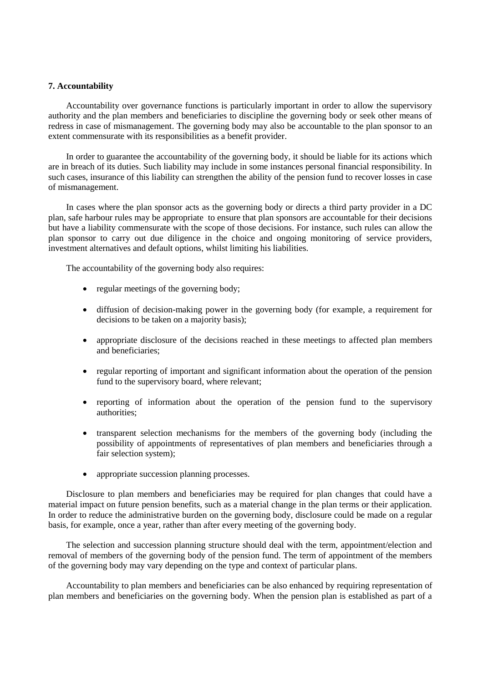# **7. Accountability**

Accountability over governance functions is particularly important in order to allow the supervisory authority and the plan members and beneficiaries to discipline the governing body or seek other means of redress in case of mismanagement. The governing body may also be accountable to the plan sponsor to an extent commensurate with its responsibilities as a benefit provider.

In order to guarantee the accountability of the governing body, it should be liable for its actions which are in breach of its duties. Such liability may include in some instances personal financial responsibility. In such cases, insurance of this liability can strengthen the ability of the pension fund to recover losses in case of mismanagement.

In cases where the plan sponsor acts as the governing body or directs a third party provider in a DC plan, safe harbour rules may be appropriate to ensure that plan sponsors are accountable for their decisions but have a liability commensurate with the scope of those decisions. For instance, such rules can allow the plan sponsor to carry out due diligence in the choice and ongoing monitoring of service providers, investment alternatives and default options, whilst limiting his liabilities.

The accountability of the governing body also requires:

- regular meetings of the governing body;
- diffusion of decision-making power in the governing body (for example, a requirement for decisions to be taken on a majority basis);
- appropriate disclosure of the decisions reached in these meetings to affected plan members and beneficiaries;
- regular reporting of important and significant information about the operation of the pension fund to the supervisory board, where relevant;
- reporting of information about the operation of the pension fund to the supervisory authorities;
- transparent selection mechanisms for the members of the governing body (including the possibility of appointments of representatives of plan members and beneficiaries through a fair selection system);
- appropriate succession planning processes.

Disclosure to plan members and beneficiaries may be required for plan changes that could have a material impact on future pension benefits, such as a material change in the plan terms or their application. In order to reduce the administrative burden on the governing body, disclosure could be made on a regular basis, for example, once a year, rather than after every meeting of the governing body.

The selection and succession planning structure should deal with the term, appointment/election and removal of members of the governing body of the pension fund. The term of appointment of the members of the governing body may vary depending on the type and context of particular plans.

Accountability to plan members and beneficiaries can be also enhanced by requiring representation of plan members and beneficiaries on the governing body. When the pension plan is established as part of a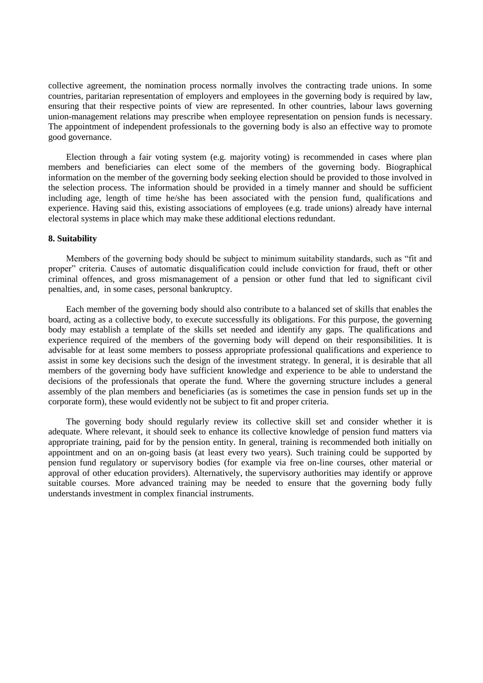collective agreement, the nomination process normally involves the contracting trade unions. In some countries, paritarian representation of employers and employees in the governing body is required by law, ensuring that their respective points of view are represented. In other countries, labour laws governing union-management relations may prescribe when employee representation on pension funds is necessary. The appointment of independent professionals to the governing body is also an effective way to promote good governance.

Election through a fair voting system (e.g. majority voting) is recommended in cases where plan members and beneficiaries can elect some of the members of the governing body. Biographical information on the member of the governing body seeking election should be provided to those involved in the selection process. The information should be provided in a timely manner and should be sufficient including age, length of time he/she has been associated with the pension fund, qualifications and experience. Having said this, existing associations of employees (e.g. trade unions) already have internal electoral systems in place which may make these additional elections redundant.

#### **8. Suitability**

Members of the governing body should be subject to minimum suitability standards, such as "fit and proper" criteria. Causes of automatic disqualification could include conviction for fraud, theft or other criminal offences, and gross mismanagement of a pension or other fund that led to significant civil penalties, and, in some cases, personal bankruptcy.

Each member of the governing body should also contribute to a balanced set of skills that enables the board, acting as a collective body, to execute successfully its obligations. For this purpose, the governing body may establish a template of the skills set needed and identify any gaps. The qualifications and experience required of the members of the governing body will depend on their responsibilities. It is advisable for at least some members to possess appropriate professional qualifications and experience to assist in some key decisions such the design of the investment strategy. In general, it is desirable that all members of the governing body have sufficient knowledge and experience to be able to understand the decisions of the professionals that operate the fund. Where the governing structure includes a general assembly of the plan members and beneficiaries (as is sometimes the case in pension funds set up in the corporate form), these would evidently not be subject to fit and proper criteria.

The governing body should regularly review its collective skill set and consider whether it is adequate. Where relevant, it should seek to enhance its collective knowledge of pension fund matters via appropriate training, paid for by the pension entity. In general, training is recommended both initially on appointment and on an on-going basis (at least every two years). Such training could be supported by pension fund regulatory or supervisory bodies (for example via free on-line courses, other material or approval of other education providers). Alternatively, the supervisory authorities may identify or approve suitable courses. More advanced training may be needed to ensure that the governing body fully understands investment in complex financial instruments.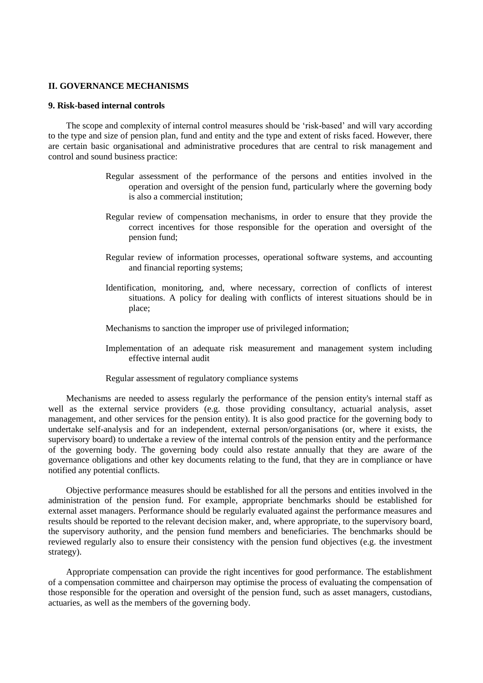# **II. GOVERNANCE MECHANISMS**

#### **9. Risk-based internal controls**

The scope and complexity of internal control measures should be "risk-based" and will vary according to the type and size of pension plan, fund and entity and the type and extent of risks faced. However, there are certain basic organisational and administrative procedures that are central to risk management and control and sound business practice:

- Regular assessment of the performance of the persons and entities involved in the operation and oversight of the pension fund, particularly where the governing body is also a commercial institution;
- Regular review of compensation mechanisms, in order to ensure that they provide the correct incentives for those responsible for the operation and oversight of the pension fund;
- Regular review of information processes, operational software systems, and accounting and financial reporting systems;
- Identification, monitoring, and, where necessary, correction of conflicts of interest situations. A policy for dealing with conflicts of interest situations should be in place;
- Mechanisms to sanction the improper use of privileged information;
- Implementation of an adequate risk measurement and management system including effective internal audit
- Regular assessment of regulatory compliance systems

Mechanisms are needed to assess regularly the performance of the pension entity's internal staff as well as the external service providers (e.g. those providing consultancy, actuarial analysis, asset management, and other services for the pension entity). It is also good practice for the governing body to undertake self-analysis and for an independent, external person/organisations (or, where it exists, the supervisory board) to undertake a review of the internal controls of the pension entity and the performance of the governing body. The governing body could also restate annually that they are aware of the governance obligations and other key documents relating to the fund, that they are in compliance or have notified any potential conflicts.

Objective performance measures should be established for all the persons and entities involved in the administration of the pension fund. For example, appropriate benchmarks should be established for external asset managers. Performance should be regularly evaluated against the performance measures and results should be reported to the relevant decision maker, and, where appropriate, to the supervisory board, the supervisory authority, and the pension fund members and beneficiaries. The benchmarks should be reviewed regularly also to ensure their consistency with the pension fund objectives (e.g. the investment strategy).

Appropriate compensation can provide the right incentives for good performance. The establishment of a compensation committee and chairperson may optimise the process of evaluating the compensation of those responsible for the operation and oversight of the pension fund, such as asset managers, custodians, actuaries, as well as the members of the governing body.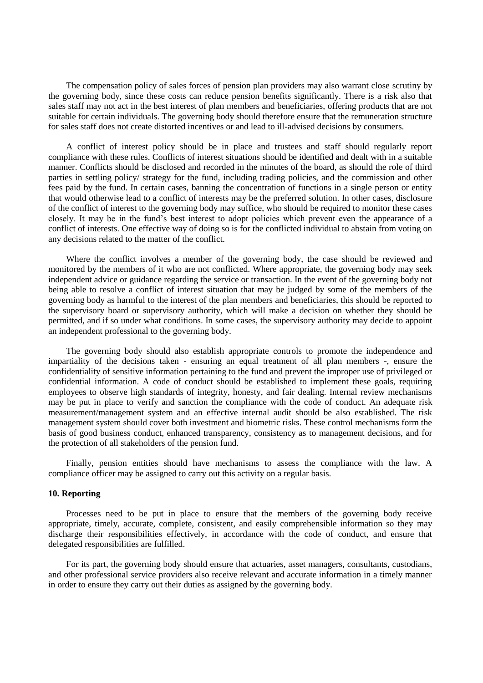The compensation policy of sales forces of pension plan providers may also warrant close scrutiny by the governing body, since these costs can reduce pension benefits significantly. There is a risk also that sales staff may not act in the best interest of plan members and beneficiaries, offering products that are not suitable for certain individuals. The governing body should therefore ensure that the remuneration structure for sales staff does not create distorted incentives or and lead to ill-advised decisions by consumers.

A conflict of interest policy should be in place and trustees and staff should regularly report compliance with these rules. Conflicts of interest situations should be identified and dealt with in a suitable manner. Conflicts should be disclosed and recorded in the minutes of the board, as should the role of third parties in settling policy/ strategy for the fund, including trading policies, and the commission and other fees paid by the fund. In certain cases, banning the concentration of functions in a single person or entity that would otherwise lead to a conflict of interests may be the preferred solution. In other cases, disclosure of the conflict of interest to the governing body may suffice, who should be required to monitor these cases closely. It may be in the fund"s best interest to adopt policies which prevent even the appearance of a conflict of interests. One effective way of doing so is for the conflicted individual to abstain from voting on any decisions related to the matter of the conflict.

Where the conflict involves a member of the governing body, the case should be reviewed and monitored by the members of it who are not conflicted. Where appropriate, the governing body may seek independent advice or guidance regarding the service or transaction. In the event of the governing body not being able to resolve a conflict of interest situation that may be judged by some of the members of the governing body as harmful to the interest of the plan members and beneficiaries, this should be reported to the supervisory board or supervisory authority, which will make a decision on whether they should be permitted, and if so under what conditions. In some cases, the supervisory authority may decide to appoint an independent professional to the governing body.

The governing body should also establish appropriate controls to promote the independence and impartiality of the decisions taken - ensuring an equal treatment of all plan members -, ensure the confidentiality of sensitive information pertaining to the fund and prevent the improper use of privileged or confidential information. A code of conduct should be established to implement these goals, requiring employees to observe high standards of integrity, honesty, and fair dealing. Internal review mechanisms may be put in place to verify and sanction the compliance with the code of conduct. An adequate risk measurement/management system and an effective internal audit should be also established. The risk management system should cover both investment and biometric risks. These control mechanisms form the basis of good business conduct, enhanced transparency, consistency as to management decisions, and for the protection of all stakeholders of the pension fund.

Finally, pension entities should have mechanisms to assess the compliance with the law. A compliance officer may be assigned to carry out this activity on a regular basis.

#### **10. Reporting**

Processes need to be put in place to ensure that the members of the governing body receive appropriate, timely, accurate, complete, consistent, and easily comprehensible information so they may discharge their responsibilities effectively, in accordance with the code of conduct, and ensure that delegated responsibilities are fulfilled.

For its part, the governing body should ensure that actuaries, asset managers, consultants, custodians, and other professional service providers also receive relevant and accurate information in a timely manner in order to ensure they carry out their duties as assigned by the governing body.